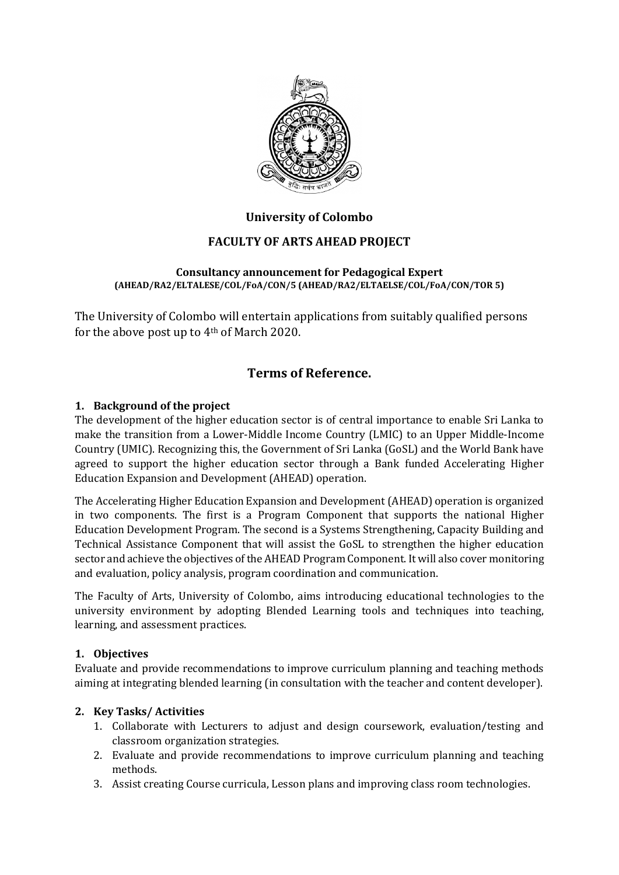

## **University of Colombo**

## **FACULTY OF ARTS AHEAD PROJECT**

#### **Consultancy announcement for Pedagogical Expert (AHEAD/RA2/ELTALESE/COL/FoA/CON/5 (AHEAD/RA2/ELTAELSE/COL/FoA/CON/TOR 5)**

The University of Colombo will entertain applications from suitably qualified persons for the above post up to 4th of March 2020.

# **Terms of Reference.**

### **1. Background of the project**

The development of the higher education sector is of central importance to enable Sri Lanka to make the transition from a Lower-Middle Income Country (LMIC) to an Upper Middle-Income Country (UMIC). Recognizing this, the Government of Sri Lanka (GoSL) and the World Bank have agreed to support the higher education sector through a Bank funded Accelerating Higher Education Expansion and Development (AHEAD) operation.

The Accelerating Higher Education Expansion and Development (AHEAD) operation is organized in two components. The first is a Program Component that supports the national Higher Education Development Program. The second is a Systems Strengthening, Capacity Building and Technical Assistance Component that will assist the GoSL to strengthen the higher education sector and achieve the objectives of the AHEAD Program Component. It will also cover monitoring and evaluation, policy analysis, program coordination and communication.

The Faculty of Arts, University of Colombo, aims introducing educational technologies to the university environment by adopting Blended Learning tools and techniques into teaching, learning, and assessment practices.

#### **1. Objectives**

Evaluate and provide recommendations to improve curriculum planning and teaching methods aiming at integrating blended learning (in consultation with the teacher and content developer).

## **2. Key Tasks/ Activities**

- 1. Collaborate with Lecturers to adjust and design coursework, evaluation/testing and classroom organization strategies.
- 2. Evaluate and provide recommendations to improve curriculum planning and teaching methods.
- 3. Assist creating Course curricula, Lesson plans and improving class room technologies.